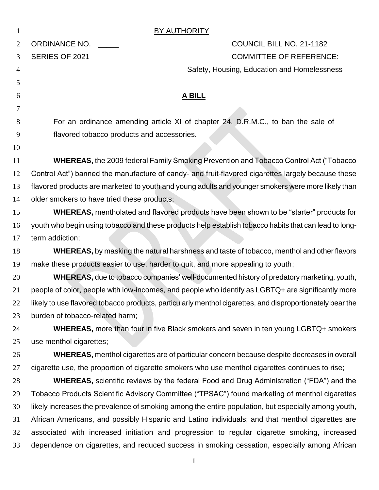|                | <b>BY AUTHORITY</b>                                                                                       |
|----------------|-----------------------------------------------------------------------------------------------------------|
| $\overline{2}$ | <b>ORDINANCE NO.</b><br>COUNCIL BILL NO. 21-1182                                                          |
| 3              | <b>COMMITTEE OF REFERENCE:</b><br>SERIES OF 2021                                                          |
| 4              | Safety, Housing, Education and Homelessness                                                               |
| 5              |                                                                                                           |
| 6              | <b>A BILL</b>                                                                                             |
| 7              |                                                                                                           |
| 8              | For an ordinance amending article XI of chapter 24, D.R.M.C., to ban the sale of                          |
| 9              | flavored tobacco products and accessories.                                                                |
| 10             |                                                                                                           |
| 11             | <b>WHEREAS, the 2009 federal Family Smoking Prevention and Tobacco Control Act ("Tobacco</b>              |
| 12             | Control Act") banned the manufacture of candy- and fruit-flavored cigarettes largely because these        |
| 13             | flavored products are marketed to youth and young adults and younger smokers were more likely than        |
| 14             | older smokers to have tried these products;                                                               |
| 15             | WHEREAS, mentholated and flavored products have been shown to be "starter" products for                   |
| 16             | youth who begin using tobacco and these products help establish tobacco habits that can lead to long-     |
| 17             | term addiction;                                                                                           |
| 18             | WHEREAS, by masking the natural harshness and taste of tobacco, menthol and other flavors                 |
| 19             | make these products easier to use, harder to quit, and more appealing to youth;                           |
| 20             | <b>WHEREAS</b> , due to tobacco companies' well-documented history of predatory marketing, youth,         |
| 21             | people of color, people with low-incomes, and people who identify as LGBTQ+ are significantly more        |
| 22             | likely to use flavored tobacco products, particularly menthol cigarettes, and disproportionately bear the |
| 23             | burden of tobacco-related harm;                                                                           |
| 24             | WHEREAS, more than four in five Black smokers and seven in ten young LGBTQ+ smokers                       |
| 25             | use menthol cigarettes;                                                                                   |
| 26             | WHEREAS, menthol cigarettes are of particular concern because despite decreases in overall                |
| 27             | cigarette use, the proportion of cigarette smokers who use menthol cigarettes continues to rise;          |
| 28             | <b>WHEREAS,</b> scientific reviews by the federal Food and Drug Administration ("FDA") and the            |
| 29             | Tobacco Products Scientific Advisory Committee ("TPSAC") found marketing of menthol cigarettes            |
| 30             | likely increases the prevalence of smoking among the entire population, but especially among youth,       |
| 31             | African Americans, and possibly Hispanic and Latino individuals; and that menthol cigarettes are          |
| 32             | associated with increased initiation and progression to regular cigarette smoking, increased              |
| 33             | dependence on cigarettes, and reduced success in smoking cessation, especially among African              |
|                | $\mathbf{1}$                                                                                              |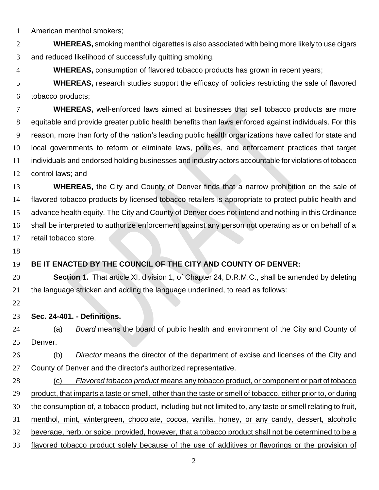American menthol smokers;

 **WHEREAS,** smoking menthol cigarettes is also associated with being more likely to use cigars and reduced likelihood of successfully quitting smoking.

**WHEREAS,** consumption of flavored tobacco products has grown in recent years;

 **WHEREAS,** research studies support the efficacy of policies restricting the sale of flavored tobacco products;

 **WHEREAS,** well-enforced laws aimed at businesses that sell tobacco products are more equitable and provide greater public health benefits than laws enforced against individuals. For this reason, more than forty of the nation's leading public health organizations have called for state and local governments to reform or eliminate laws, policies, and enforcement practices that target individuals and endorsed holding businesses and industry actors accountable for violations of tobacco control laws; and

 **WHEREAS,** the City and County of Denver finds that a narrow prohibition on the sale of flavored tobacco products by licensed tobacco retailers is appropriate to protect public health and advance health equity. The City and County of Denver does not intend and nothing in this Ordinance shall be interpreted to authorize enforcement against any person not operating as or on behalf of a retail tobacco store.

#### **BE IT ENACTED BY THE COUNCIL OF THE CITY AND COUNTY OF DENVER:**

 **Section 1.** That article XI, division 1, of Chapter 24, D.R.M.C., shall be amended by deleting the language stricken and adding the language underlined, to read as follows:

#### **Sec. 24-401. - Definitions.**

 (a) *Board* means the board of public health and environment of the City and County of Denver.

 (b) *Director* means the director of the department of excise and licenses of the City and 27 County of Denver and the director's authorized representative.

 (c) *Flavored tobacco product* means any tobacco product, or component or part of tobacco product, that imparts a taste or smell, other than the taste or smell of tobacco, either prior to, or during the consumption of, a tobacco product, including but not limited to, any taste or smell relating to fruit, menthol, mint, wintergreen, chocolate, cocoa, vanilla, honey, or any candy, dessert, alcoholic beverage, herb, or spice; provided, however, that a tobacco product shall not be determined to be a flavored tobacco product solely because of the use of additives or flavorings or the provision of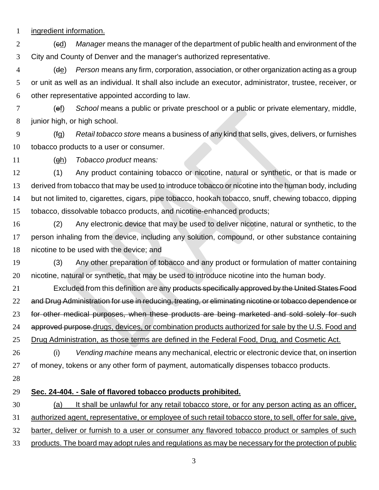ingredient information.

 (cd) *Manager* means the manager of the department of public health and environment of the City and County of Denver and the manager's authorized representative.

 (de) *Person* means any firm, corporation, association, or other organization acting as a group or unit as well as an individual. It shall also include an executor, administrator, trustee, receiver, or other representative appointed according to law.

 (ef) *School* means a public or private preschool or a public or private elementary, middle, junior high, or high school.

 (fg) *Retail tobacco store* means a business of any kind that sells, gives, delivers, or furnishes tobacco products to a user or consumer.

(gh) *Tobacco product* means*:*

 (1) Any product containing tobacco or nicotine, natural or synthetic, or that is made or derived from tobacco that may be used to introduce tobacco or nicotine into the human body, including but not limited to, cigarettes, cigars, pipe tobacco, hookah tobacco, snuff, chewing tobacco, dipping tobacco, dissolvable tobacco products, and nicotine-enhanced products;

 (2) Any electronic device that may be used to deliver nicotine, natural or synthetic, to the person inhaling from the device, including any solution, compound, or other substance containing nicotine to be used with the device; and

 (3) Any other preparation of tobacco and any product or formulation of matter containing nicotine, natural or synthetic, that may be used to introduce nicotine into the human body.

21 Excluded from this definition are any products specifically approved by the United States Food and Drug Administration for use in reducing, treating, or eliminating nicotine or tobacco dependence or 23 for other medical purposes, when these products are being marketed and sold solely for such 24 approved purpose drugs, devices, or combination products authorized for sale by the U.S. Food and Drug Administration, as those terms are defined in the Federal Food, Drug, and Cosmetic Act.

 (i) *Vending machine* means any mechanical, electric or electronic device that, on insertion of money, tokens or any other form of payment, automatically dispenses tobacco products.

### **Sec. 24-404. - Sale of flavored tobacco products prohibited.**

 (a) It shall be unlawful for any retail tobacco store, or for any person acting as an officer, authorized agent, representative, or employee of such retail tobacco store, to sell, offer for sale, give, barter, deliver or furnish to a user or consumer any flavored tobacco product or samples of such products. The board may adopt rules and regulations as may be necessary for the protection of public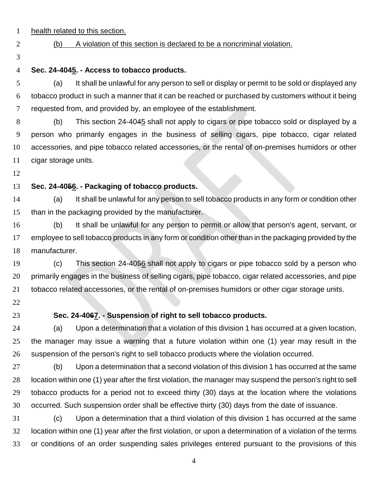- health related to this section.
- 

#### (b) A violation of this section is declared to be a noncriminal violation.

# **Sec. 24-4045. - Access to tobacco products.**

 (a) It shall be unlawful for any person to sell or display or permit to be sold or displayed any tobacco product in such a manner that it can be reached or purchased by customers without it being requested from, and provided by, an employee of the establishment.

 (b) This section 24-4045 shall not apply to cigars or pipe tobacco sold or displayed by a person who primarily engages in the business of selling cigars, pipe tobacco, cigar related accessories, and pipe tobacco related accessories, or the rental of on-premises humidors or other cigar storage units.

## **Sec. 24-4056. - Packaging of tobacco products.**

 (a) It shall be unlawful for any person to sell tobacco products in any form or condition other than in the packaging provided by the manufacturer.

 (b) It shall be unlawful for any person to permit or allow that person's agent, servant, or 17 employee to sell tobacco products in any form or condition other than in the packaging provided by the manufacturer.

 (c) This section 24-4056 shall not apply to cigars or pipe tobacco sold by a person who primarily engages in the business of selling cigars, pipe tobacco, cigar related accessories, and pipe tobacco related accessories, or the rental of on-premises humidors or other cigar storage units.

- 
- 

#### **Sec. 24-4067. - Suspension of right to sell tobacco products.**

 (a) Upon a determination that a violation of this division 1 has occurred at a given location, the manager may issue a warning that a future violation within one (1) year may result in the suspension of the person's right to sell tobacco products where the violation occurred.

 (b) Upon a determination that a second violation of this division 1 has occurred at the same location within one (1) year after the first violation, the manager may suspend the person's right to sell tobacco products for a period not to exceed thirty (30) days at the location where the violations occurred. Such suspension order shall be effective thirty (30) days from the date of issuance.

 (c) Upon a determination that a third violation of this division 1 has occurred at the same location within one (1) year after the first violation, or upon a determination of a violation of the terms or conditions of an order suspending sales privileges entered pursuant to the provisions of this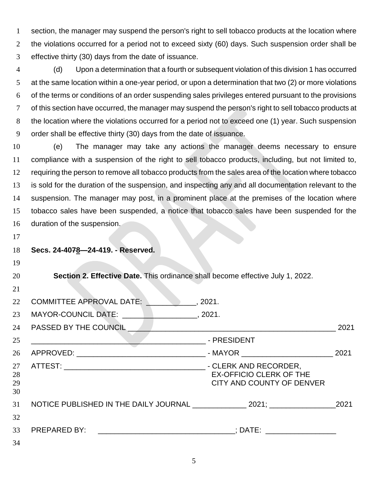section, the manager may suspend the person's right to sell tobacco products at the location where the violations occurred for a period not to exceed sixty (60) days. Such suspension order shall be effective thirty (30) days from the date of issuance.

 (d) Upon a determination that a fourth or subsequent violation of this division 1 has occurred 5 at the same location within a one-year period, or upon a determination that two (2) or more violations of the terms or conditions of an order suspending sales privileges entered pursuant to the provisions of this section have occurred, the manager may suspend the person's right to sell tobacco products at the location where the violations occurred for a period not to exceed one (1) year. Such suspension order shall be effective thirty (30) days from the date of issuance.

 (e) The manager may take any actions the manager deems necessary to ensure compliance with a suspension of the right to sell tobacco products, including, but not limited to, requiring the person to remove all tobacco products from the sales area of the location where tobacco is sold for the duration of the suspension, and inspecting any and all documentation relevant to the suspension. The manager may post, in a prominent place at the premises of the location where tobacco sales have been suspended, a notice that tobacco sales have been suspended for the duration of the suspension.

|  | 18 Secs. 24-4078-24-419. - Reserved. |  |  |
|--|--------------------------------------|--|--|
|  |                                      |  |  |

| 20 | <b>Section 2. Effective Date.</b> This ordinance shall become effective July 1, 2022. |  |  |  |
|----|---------------------------------------------------------------------------------------|--|--|--|

| 21                   |                                                                                                                      |                                                             |      |
|----------------------|----------------------------------------------------------------------------------------------------------------------|-------------------------------------------------------------|------|
| 22                   | <b>COMMITTEE APPROVAL DATE:</b>                                                                                      | .2021.                                                      |      |
| 23                   | MAYOR-COUNCIL DATE: 19921.                                                                                           |                                                             |      |
| 24                   | PASSED BY THE COUNCIL                                                                                                |                                                             | 2021 |
| 25                   | <u> 1989 - Johann Stein, mars an deutscher Stein und der Stein und der Stein und der Stein und der Stein und der</u> | - PRESIDENT                                                 |      |
| 26                   |                                                                                                                      |                                                             | 2021 |
| 27<br>28<br>29<br>30 |                                                                                                                      | <b>EX-OFFICIO CLERK OF THE</b><br>CITY AND COUNTY OF DENVER |      |
| 31                   |                                                                                                                      |                                                             | 2021 |
| 32                   |                                                                                                                      |                                                             |      |
| 33                   | PREPARED BY: __________________________________; DATE: _________________________                                     |                                                             |      |
| 34                   |                                                                                                                      |                                                             |      |